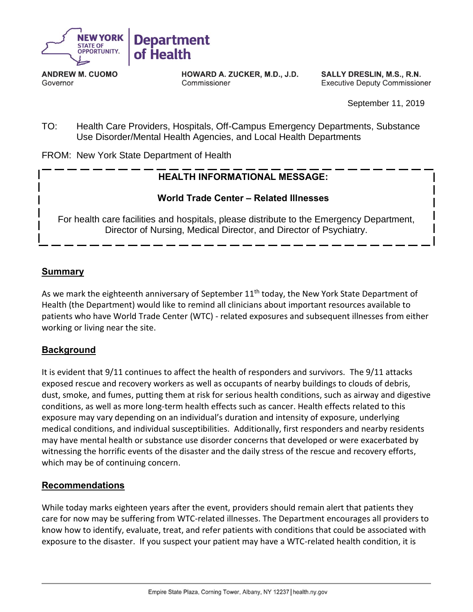

**ANDREW M. CUOMO** Governor

HOWARD A. ZUCKER, M.D., J.D. Commissioner

SALLY DRESLIN, M.S., R.N. **Executive Deputy Commissioner** 

September 11, 2019

TO: Health Care Providers, Hospitals, Off-Campus Emergency Departments, Substance Use Disorder/Mental Health Agencies, and Local Health Departments

FROM: New York State Department of Health

# **HEALTH INFORMATIONAL MESSAGE:**

# **World Trade Center – Related Illnesses**

For health care facilities and hospitals, please distribute to the Emergency Department, Director of Nursing, Medical Director, and Director of Psychiatry.

# **Summary**

As we mark the eighteenth anniversary of September 11<sup>th</sup> today, the New York State Department of Health (the Department) would like to remind all clinicians about important resources available to patients who have World Trade Center (WTC) - related exposures and subsequent illnesses from either working or living near the site.

# **Background**

It is evident that 9/11 continues to affect the health of responders and survivors. The 9/11 attacks exposed rescue and recovery workers as well as occupants of nearby buildings to clouds of debris, dust, smoke, and fumes, putting them at risk for serious health conditions, such as airway and digestive conditions, as well as more long-term health effects such as cancer. Health effects related to this exposure may vary depending on an individual's duration and intensity of exposure, underlying medical conditions, and individual susceptibilities. Additionally, first responders and nearby residents may have mental health or substance use disorder concerns that developed or were exacerbated by witnessing the horrific events of the disaster and the daily stress of the rescue and recovery efforts, which may be of continuing concern.

### **Recommendations**

While today marks eighteen years after the event, providers should remain alert that patients they care for now may be suffering from WTC-related illnesses. The Department encourages all providers to know how to identify, evaluate, treat, and refer patients with conditions that could be associated with exposure to the disaster. If you suspect your patient may have a WTC-related health condition, it is